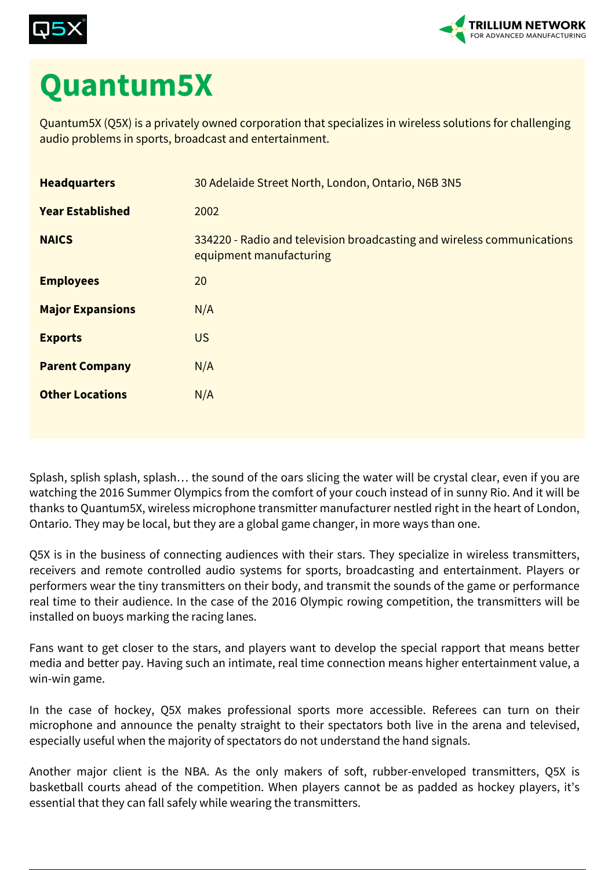



## **Quantum5X**

Quantum5X (Q5X) is a privately owned corporation that specializes in wireless solutions for challenging audio problems in sports, broadcast and entertainment.

| <b>Headquarters</b>     | 30 Adelaide Street North, London, Ontario, N6B 3N5                                                |
|-------------------------|---------------------------------------------------------------------------------------------------|
| <b>Year Established</b> | 2002                                                                                              |
| <b>NAICS</b>            | 334220 - Radio and television broadcasting and wireless communications<br>equipment manufacturing |
| <b>Employees</b>        | 20                                                                                                |
| <b>Major Expansions</b> | N/A                                                                                               |
| <b>Exports</b>          | <b>US</b>                                                                                         |
| <b>Parent Company</b>   | N/A                                                                                               |
| <b>Other Locations</b>  | N/A                                                                                               |
|                         |                                                                                                   |

Splash, splish splash, splash… the sound of the oars slicing the water will be crystal clear, even if you are watching the 2016 Summer Olympics from the comfort of your couch instead of in sunny Rio. And it will be thanks to Quantum5X, wireless microphone transmitter manufacturer nestled right in the heart of London, Ontario. They may be local, but they are a global game changer, in more ways than one.

Q5X is in the business of connecting audiences with their stars. They specialize in wireless transmitters, receivers and remote controlled audio systems for sports, broadcasting and entertainment. Players or performers wear the tiny transmitters on their body, and transmit the sounds of the game or performance real time to their audience. In the case of the 2016 Olympic rowing competition, the transmitters will be installed on buoys marking the racing lanes.

Fans want to get closer to the stars, and players want to develop the special rapport that means better media and better pay. Having such an intimate, real time connection means higher entertainment value, a win-win game.

In the case of hockey, Q5X makes professional sports more accessible. Referees can turn on their microphone and announce the penalty straight to their spectators both live in the arena and televised, especially useful when the majority of spectators do not understand the hand signals.

Another major client is the NBA. As the only makers of soft, rubber-enveloped transmitters, Q5X is basketball courts ahead of the competition. When players cannot be as padded as hockey players, it's essential that they can fall safely while wearing the transmitters.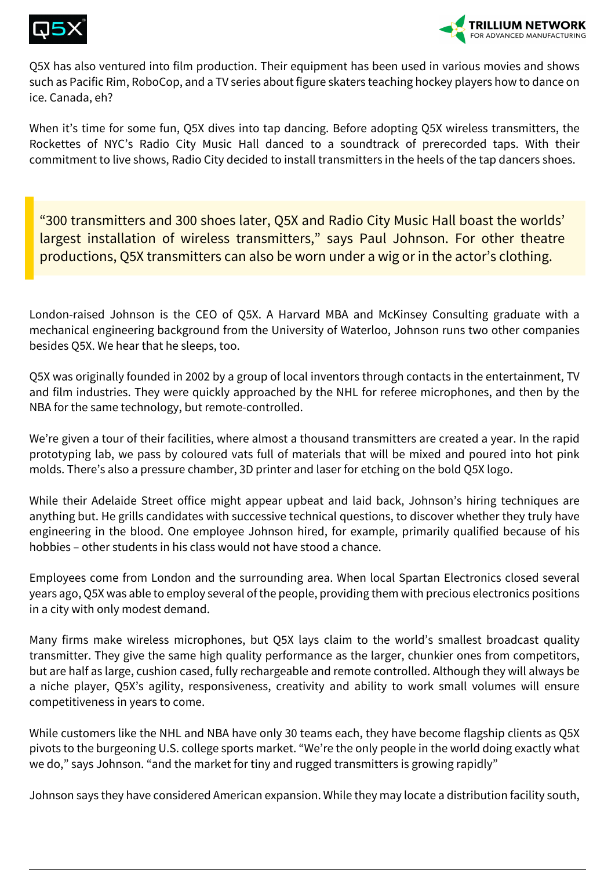



Q5X has also ventured into film production. Their equipment has been used in various movies and shows such as Pacific Rim, RoboCop, and a TV series about figure skaters teaching hockey players how to dance on ice. Canada, eh?

When it's time for some fun, Q5X dives into tap dancing. Before adopting Q5X wireless transmitters, the Rockettes of NYC's Radio City Music Hall danced to a soundtrack of prerecorded taps. With their commitment to live shows, Radio City decided to install transmitters in the heels of the tap dancers shoes.

"300 transmitters and 300 shoes later, Q5X and Radio City Music Hall boast the worlds' largest installation of wireless transmitters," says Paul Johnson. For other theatre productions, Q5X transmitters can also be worn under a wig or in the actor's clothing.

London-raised Johnson is the CEO of Q5X. A Harvard MBA and McKinsey Consulting graduate with a mechanical engineering background from the University of Waterloo, Johnson runs two other companies besides Q5X. We hear that he sleeps, too.

Q5X was originally founded in 2002 by a group of local inventors through contacts in the entertainment, TV and film industries. They were quickly approached by the NHL for referee microphones, and then by the NBA for the same technology, but remote-controlled.

We're given a tour of their facilities, where almost a thousand transmitters are created a year. In the rapid prototyping lab, we pass by coloured vats full of materials that will be mixed and poured into hot pink molds. There's also a pressure chamber, 3D printer and laser for etching on the bold Q5X logo.

While their Adelaide Street office might appear upbeat and laid back, Johnson's hiring techniques are anything but. He grills candidates with successive technical questions, to discover whether they truly have engineering in the blood. One employee Johnson hired, for example, primarily qualified because of his hobbies – other students in his class would not have stood a chance.

Employees come from London and the surrounding area. When local Spartan Electronics closed several years ago, Q5X was able to employ several of the people, providing them with precious electronics positions in a city with only modest demand.

Many firms make wireless microphones, but Q5X lays claim to the world's smallest broadcast quality transmitter. They give the same high quality performance as the larger, chunkier ones from competitors, but are half as large, cushion cased, fully rechargeable and remote controlled. Although they will always be a niche player, Q5X's agility, responsiveness, creativity and ability to work small volumes will ensure competitiveness in years to come.

While customers like the NHL and NBA have only 30 teams each, they have become flagship clients as Q5X pivots to the burgeoning U.S. college sports market. "We're the only people in the world doing exactly what we do," says Johnson. "and the market for tiny and rugged transmitters is growing rapidly"

Johnson says they have considered American expansion. While they may locate a distribution facility south,